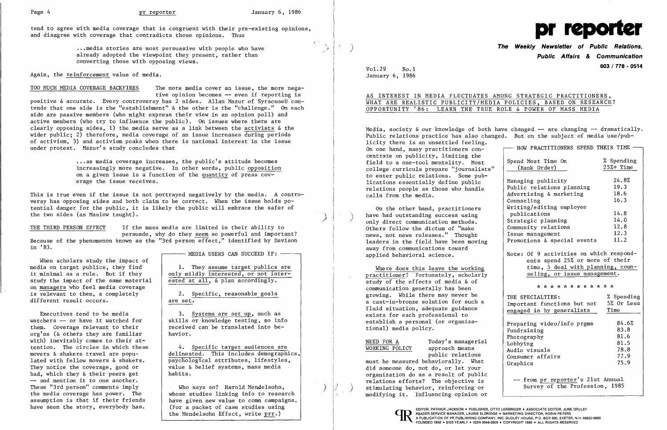$I$   $\rightarrow$   $\rightarrow$ 

)  $\vert \hspace{.06cm} \rangle$ 

 $\rightarrow$   $\mid$   $\prime$ 

 $\left( \begin{array}{cc} 1 & 1 \end{array} \right)$ 

and disagree with coverage that contradicts those opinions. Thus tend to agree with media coverage that is congruent with their pre-existing opinions, the contract of the contract of the contract of the contract of the contract of the contract of the contract of the contract of the contract of the contract of the contract of the contract of the con

.•.media stories are most persuasive with people who have already adopted the viewpoint they present, rather than converting those with opposing views.

Again, the reinforcement value of media.

TOO MUCH MEDIA COVERAGE BACKFIRES The more media cover an issue, the more negative opinion becomes -- even if reporting is positive & accurate. Every controversy has 2 sides. Allan Mazur of SyracuseU contends that one side is the "establishment" & the other is the "challenge." On each side are passive members (who might express their view in an opinion poll) and active members (who try to influence the public). On issues where there are clearly opposing sides, 1) the media serve as a link between the activists & the wider public; 2) therefore, media coverage of an issue increases during periods of activism, 3) and activism peaks when there is national interest in the issue under protest. Mazur's study concludes that

THE THIRD PERSON EFFECT If the mass media are limited in their ability to persuade, why do they seem so powerful and important?

> 3. Systems are set up, such as skills or knowledge testing, so info received can be translated into be-<br>havior.

movers & shakers travel are popu-<br>lated with fellow movers & shakers.<br>psychological attributes, lifestyles, psychological attributes, lifestyles,

.•. as media coverage increases, the public's attitude becomes increasingly more negative. In other words, public opposition on a given issue is a function of the quantity of press coverage the issue receives.

This is true even if the issue is not portrayed negatively by the media. A controversy has opposing sides and both claim to be correct. When the issue holds potential danger for the public, it is likely the public will embrace the safer of the two sides (as Maslow taught).

the media coverage has power. The whose studies linking info to research<br>assumption is that if their friends have given new value to comm campaigns. assumption is that if their friends  $\begin{array}{|l|l|}\n\hline\nhave seen the story, everybody has. \end{array}$  (For a packet of case studies using (For a packet of case studies using the Mendelsohn Effect, write prr.)

Because of the phenomenon known as the "3rd person effect," identified by Davison in '83.

When scholars study the impact of<br>media on target publics, they find study the impact of the same material on managers who feel media coverage is relevant to them, a completely 2. Specific, reasonable goals different result occurs.  $\vert$  are set.

watchers -- or have it watched for<br>them. Coverage relevant to their Executives tend to be media org'ns ( $\&$  others they are familiar with) inevitably comes to their attention. The circles in which these <br>movers & shakers travel are popu-<br>delineated. This includes demograph: They notice the coverage, good or  $bad$ , value & belief systems, mass media bad, which they & their peers get habits. bad, which they  $\&$  their peers get -- and mention it to one another. These "3rd person" comments imply  $\qquad$  Who says so? Harold Mendelsohn,

MEDIA USERS CAN SUCCEED IF:

1. They assume target publics are it minimal as a rule. But if they  $\Big|$  only mildly interested, or not inter-<br>study the impact of the same material ested at all,  $\delta$  plan accordingly.

Media, society  $\&$  our knowledge of both have changed -- are changing -- dramatically. Public relations practice has also changed. But on the subject of media use/publicity there is an unsettled feeling. On one hand, many practitioners concentrate on publicity, limiting the field to a one-tool mentality. Most college curricula prepare "journalists" Spend Most Time (Rank Order) On % Spending 25%+ Time to enter public relations. Some publications essentially define public relations people as those who handle calls from the media. Managing publicity Public relations planning Advertising & marketing 24.8% 19.3 18.6

On the other hand, practitioners have had outstanding success using only direct communication methods. Others follow the dictum of "make news, not news releases." Thought leaders in the field have been moving away from communications toward applied behavioral science.

Where does this leave the working practitioner? Fortunately, scholarly study of the effects of media & of communication generally has been growing. While there may never be a cast-in-bronze solution for such a fluid situation, adequate guidance exists for each professional to establish a personal (or organiza-<br>
tional) media policy.<br>
Fundraising

## /} ) **The Weekly Newsletter of Public Relations, Public Affairs & Communication**  VoL29 No.1 **603 / 778 - <sup>0514</sup>**

January 6, 1986

AS INTEREST IN MEDIA FLUCTUATES AMONG STRATEGIC PRACTITIONERS,

## WHAT ARE REALISTIC PUBLICITY/MEDIA POLICIES, BASED ON RESEARCH? OPPORTUNITY '86: LEARN THE TRUE ROLE & POWER OF MASS MEDIA

| HOW PRACTITIONERS SPEND THEIR TIME                          |              |  |  |  |
|-------------------------------------------------------------|--------------|--|--|--|
|                                                             |              |  |  |  |
| Spend Most Time On                                          | % Spending   |  |  |  |
| (Rank Order)                                                | $25% +$ Time |  |  |  |
|                                                             |              |  |  |  |
| Managing publicity                                          | 24.8%        |  |  |  |
| Public relations planning                                   | 19.3         |  |  |  |
| Advertising & marketing                                     | 18.6         |  |  |  |
| Counseling                                                  | 16.3         |  |  |  |
| Writing/editing employee                                    |              |  |  |  |
| publications                                                | 14.8         |  |  |  |
| Strategic planning                                          | 14.0         |  |  |  |
| Community relations                                         | 12.8         |  |  |  |
| Issue management                                            | 12.3         |  |  |  |
| Promotions & special events                                 | 11.2         |  |  |  |
|                                                             |              |  |  |  |
| Note: Of 9 activities on which respond-                     |              |  |  |  |
| ents spend 25% or more of their                             |              |  |  |  |
| time, 5 deal with planning, coun-                           |              |  |  |  |
| seling, or issue management.                                |              |  |  |  |
|                                                             |              |  |  |  |
|                                                             |              |  |  |  |
| * * * * * * * * * * * *                                     |              |  |  |  |
| THE SPECIALTIES:                                            | % Spending   |  |  |  |
|                                                             | 5% Or Less   |  |  |  |
| Important functions but not                                 | Time         |  |  |  |
| engaged in by generalists                                   |              |  |  |  |
| Preparing video/info prgms                                  | 84.6%        |  |  |  |
| Fundraising                                                 | 83.8         |  |  |  |
| Photography                                                 | 81.6         |  |  |  |
| Lobbying                                                    | 81.5         |  |  |  |
| Audio visuals                                               | 78.8         |  |  |  |
| Consumer affairs                                            | 77.9         |  |  |  |
| Graphics                                                    | 75.9         |  |  |  |
|                                                             |              |  |  |  |
|                                                             |              |  |  |  |
| from pr reporter's 21st Annual<br>Survey of the Profession, | 1985         |  |  |  |

NEED FOR A WORKING POLICY

Today's managerial approach means public relations

must be measured behaviorally. What did someone do, not do, or let your organization do as a result of public relations efforts? The objective is stimulating behavior, reinforcing or modifying it. Influencing opinion or

READER SERVICE MANAGER, LAURIE ELDRIDGE • MARKETING DIRECTOR, ROBIN PETERS A PUBLICATION OF PR PUBLISHING COMPANY, INC. DUDLEY HOUSE, P.O. BOX 600, EXETER, N. (FOUNDED 1958 • \$125 YEARLY • ISSN 0048-2609 • COPYRIGHT 1986 •